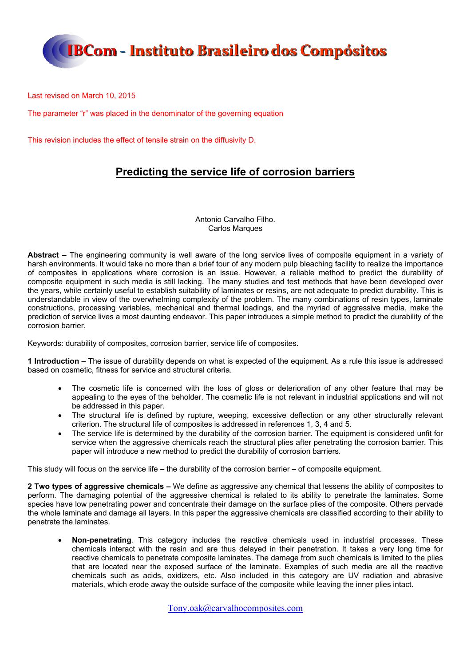

Last revised on March 10, 2015

The parameter "r" was placed in the denominator of the governing equation

This revision includes the effect of tensile strain on the diffusivity D.

### **Predicting the service life of corrosion barriers**

Antonio Carvalho Filho. Carlos Marques

**Abstract –** The engineering community is well aware of the long service lives of composite equipment in a variety of harsh environments. It would take no more than a brief tour of any modern pulp bleaching facility to realize the importance of composites in applications where corrosion is an issue. However, a reliable method to predict the durability of composite equipment in such media is still lacking. The many studies and test methods that have been developed over the years, while certainly useful to establish suitability of laminates or resins, are not adequate to predict durability. This is understandable in view of the overwhelming complexity of the problem. The many combinations of resin types, laminate constructions, processing variables, mechanical and thermal loadings, and the myriad of aggressive media, make the prediction of service lives a most daunting endeavor. This paper introduces a simple method to predict the durability of the corrosion barrier.

Keywords: durability of composites, corrosion barrier, service life of composites.

**1 Introduction –** The issue of durability depends on what is expected of the equipment. As a rule this issue is addressed based on cosmetic, fitness for service and structural criteria.

- The cosmetic life is concerned with the loss of gloss or deterioration of any other feature that may be appealing to the eyes of the beholder. The cosmetic life is not relevant in industrial applications and will not be addressed in this paper.
- The structural life is defined by rupture, weeping, excessive deflection or any other structurally relevant criterion. The structural life of composites is addressed in references 1, 3, 4 and 5.
- The service life is determined by the durability of the corrosion barrier. The equipment is considered unfit for service when the aggressive chemicals reach the structural plies after penetrating the corrosion barrier. This paper will introduce a new method to predict the durability of corrosion barriers.

This study will focus on the service life – the durability of the corrosion barrier – of composite equipment.

**2 Two types of aggressive chemicals –** We define as aggressive any chemical that lessens the ability of composites to perform. The damaging potential of the aggressive chemical is related to its ability to penetrate the laminates. Some species have low penetrating power and concentrate their damage on the surface plies of the composite. Others pervade the whole laminate and damage all layers. In this paper the aggressive chemicals are classified according to their ability to penetrate the laminates.

 **Non-penetrating***.* This category includes the reactive chemicals used in industrial processes. These chemicals interact with the resin and are thus delayed in their penetration. It takes a very long time for reactive chemicals to penetrate composite laminates. The damage from such chemicals is limited to the plies that are located near the exposed surface of the laminate. Examples of such media are all the reactive chemicals such as acids, oxidizers, etc. Also included in this category are UV radiation and abrasive materials, which erode away the outside surface of the composite while leaving the inner plies intact.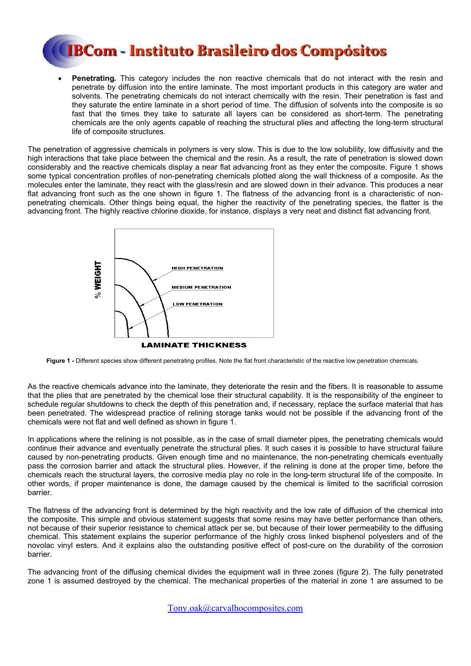

 **Penetrating***.* This category includes the non reactive chemicals that do not interact with the resin and penetrate by diffusion into the entire laminate. The most important products in this category are water and solvents. The penetrating chemicals do not interact chemically with the resin. Their penetration is fast and they saturate the entire laminate in a short period of time. The diffusion of solvents into the composite is so fast that the times they take to saturate all layers can be considered as short-term. The penetrating chemicals are the only agents capable of reaching the structural plies and affecting the long-term structural life of composite structures.

The penetration of aggressive chemicals in polymers is very slow. This is due to the low solubility, low diffusivity and the high interactions that take place between the chemical and the resin. As a result, the rate of penetration is slowed down considerably and the reactive chemicals display a near flat advancing front as they enter the composite. Figure 1 shows some typical concentration profiles of non-penetrating chemicals plotted along the wall thickness of a composite. As the molecules enter the laminate, they react with the glass/resin and are slowed down in their advance. This produces a near flat advancing front such as the one shown in figure 1. The flatness of the advancing front is a characteristic of nonpenetrating chemicals. Other things being equal, the higher the reactivity of the penetrating species, the flatter is the advancing front. The highly reactive chlorine dioxide, for instance, displays a very neat and distinct flat advancing front.



**Figure 1 -** Different species show different penetrating profiles. Note the flat front characteristic of the reactive low penetration chemicals.

As the reactive chemicals advance into the laminate, they deteriorate the resin and the fibers. It is reasonable to assume that the plies that are penetrated by the chemical lose their structural capability. It is the responsibility of the engineer to schedule regular shutdowns to check the depth of this penetration and, if necessary, replace the surface material that has been penetrated. The widespread practice of relining storage tanks would not be possible if the advancing front of the chemicals were not flat and well defined as shown in figure 1.

In applications where the relining is not possible, as in the case of small diameter pipes, the penetrating chemicals would continue their advance and eventually penetrate the structural plies. It such cases it is possible to have structural failure caused by non-penetrating products. Given enough time and no maintenance, the non-penetrating chemicals eventually pass the corrosion barrier and attack the structural plies. However, if the relining is done at the proper time, before the chemicals reach the structural layers, the corrosive media play no role in the long-term structural life of the composite. In other words, if proper maintenance is done, the damage caused by the chemical is limited to the sacrificial corrosion barrier.

The flatness of the advancing front is determined by the high reactivity and the low rate of diffusion of the chemical into the composite. This simple and obvious statement suggests that some resins may have better performance than others, not because of their superior resistance to chemical attack per se, but because of their lower permeability to the diffusing chemical. This statement explains the superior performance of the highly cross linked bisphenol polyesters and of the novolac vinyl esters. And it explains also the outstanding positive effect of post-cure on the durability of the corrosion barrier.

The advancing front of the diffusing chemical divides the equipment wall in three zones (figure 2). The fully penetrated zone 1 is assumed destroyed by the chemical. The mechanical properties of the material in zone 1 are assumed to be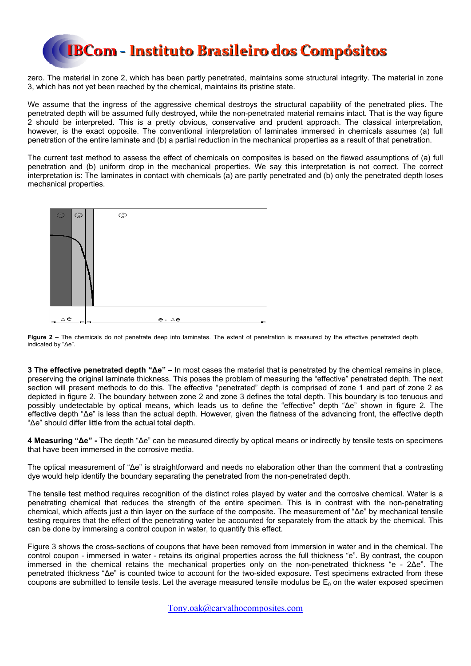zero. The material in zone 2, which has been partly penetrated, maintains some structural integrity. The material in zone 3, which has not yet been reached by the chemical, maintains its pristine state.

We assume that the ingress of the aggressive chemical destroys the structural capability of the penetrated plies. The penetrated depth will be assumed fully destroyed, while the non-penetrated material remains intact. That is the way figure 2 should be interpreted. This is a pretty obvious, conservative and prudent approach. The classical interpretation, however, is the exact opposite. The conventional interpretation of laminates immersed in chemicals assumes (a) full penetration of the entire laminate and (b) a partial reduction in the mechanical properties as a result of that penetration.

The current test method to assess the effect of chemicals on composites is based on the flawed assumptions of (a) full penetration and (b) uniform drop in the mechanical properties. We say this interpretation is not correct. The correct interpretation is: The laminates in contact with chemicals (a) are partly penetrated and (b) only the penetrated depth loses mechanical properties.



**Figure 2 –** The chemicals do not penetrate deep into laminates. The extent of penetration is measured by the effective penetrated depth indicated by "Δe".

**3 The effective penetrated depth "Δe" –** In most cases the material that is penetrated by the chemical remains in place, preserving the original laminate thickness. This poses the problem of measuring the "effective" penetrated depth. The next section will present methods to do this. The effective "penetrated" depth is comprised of zone 1 and part of zone 2 as depicted in figure 2. The boundary between zone 2 and zone 3 defines the total depth. This boundary is too tenuous and possibly undetectable by optical means, which leads us to define the "effective" depth "Δe" shown in figure 2. The effective depth "Δe" is less than the actual depth. However, given the flatness of the advancing front, the effective depth "Δe" should differ little from the actual total depth.

**4 Measuring "Δe" -** The depth "Δe" can be measured directly by optical means or indirectly by tensile tests on specimens that have been immersed in the corrosive media.

The optical measurement of "Δe" is straightforward and needs no elaboration other than the comment that a contrasting dye would help identify the boundary separating the penetrated from the non-penetrated depth.

The tensile test method requires recognition of the distinct roles played by water and the corrosive chemical. Water is a penetrating chemical that reduces the strength of the entire specimen. This is in contrast with the non-penetrating chemical, which affects just a thin layer on the surface of the composite. The measurement of "Δe" by mechanical tensile testing requires that the effect of the penetrating water be accounted for separately from the attack by the chemical. This can be done by immersing a control coupon in water, to quantify this effect.

Figure 3 shows the cross-sections of coupons that have been removed from immersion in water and in the chemical. The control coupon - immersed in water - retains its original properties across the full thickness "e". By contrast, the coupon immersed in the chemical retains the mechanical properties only on the non-penetrated thickness "e - 2Δe". The penetrated thickness "Δe" is counted twice to account for the two-sided exposure. Test specimens extracted from these coupons are submitted to tensile tests. Let the average measured tensile modulus be  $E_0$  on the water exposed specimen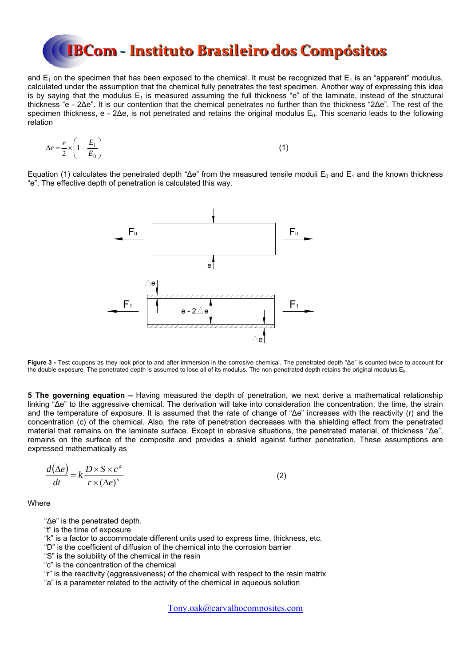and  $E_1$  on the specimen that has been exposed to the chemical. It must be recognized that  $E_1$  is an "apparent" modulus, calculated under the assumption that the chemical fully penetrates the test specimen. Another way of expressing this idea is by saying that the modulus  $E_1$  is measured assuming the full thickness "e" of the laminate, instead of the structural thickness "e - 2Δe". It is our contention that the chemical penetrates no further than the thickness "2Δe". The rest of the specimen thickness, e - 2Δe, is not penetrated and retains the original modulus E<sub>0</sub>. This scenario leads to the following relation

$$
\Delta e = \frac{e}{2} \times \left( 1 - \frac{E_1}{E_0} \right) \tag{1}
$$

Equation (1) calculates the penetrated depth " $\Delta e$ " from the measured tensile moduli E<sub>0</sub> and E<sub>1</sub> and the known thickness "e". The effective depth of penetration is calculated this way.



**Figure 3 -** Test coupons as they look prior to and after immersion in the corrosive chemical. The penetrated depth "Δe" is counted twice to account for the double exposure. The penetrated depth is assumed to lose all of its modulus. The non-penetrated depth retains the original modulus E<sub>0</sub>.

**5 The governing equation –** Having measured the depth of penetration, we next derive a mathematical relationship linking "Δe" to the aggressive chemical. The derivation will take into consideration the concentration, the time, the strain and the temperature of exposure. It is assumed that the rate of change of "Δe" increases with the reactivity (r) and the concentration (c) of the chemical. Also, the rate of penetration decreases with the shielding effect from the penetrated material that remains on the laminate surface. Except in abrasive situations, the penetrated material, of thickness "Δe", remains on the surface of the composite and provides a shield against further penetration. These assumptions are expressed mathematically as

$$
\frac{d(\Delta e)}{dt} = k \frac{D \times S \times c^a}{r \times (\Delta e)^s}
$$
 (2)

**Where** 

"Δe" is the penetrated depth.

"t" is the time of exposure

"k" is a factor to accommodate different units used to express time, thickness, etc.

- "D" is the coefficient of diffusion of the chemical into the corrosion barrier
- "S" is the solubility of the chemical in the resin
- "c" is the concentration of the chemical

"r" is the reactivity (aggressiveness) of the chemical with respect to the resin matrix

"a" is a parameter related to the activity of the chemical in aqueous solution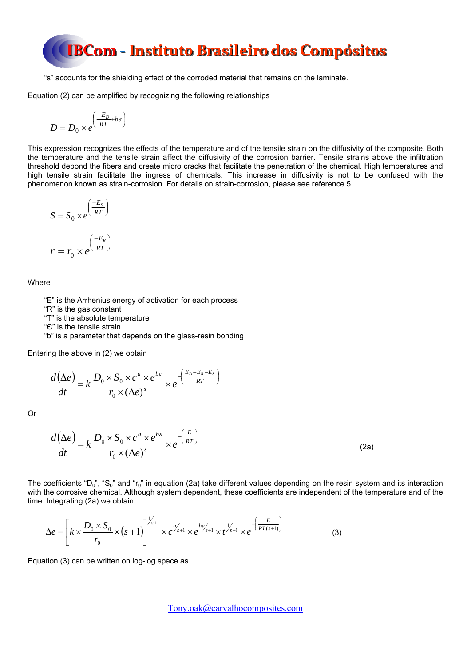"s" accounts for the shielding effect of the corroded material that remains on the laminate.

Equation (2) can be amplified by recognizing the following relationships

$$
D = D_0 \times e^{\left(\frac{-E_D}{RT} + b\varepsilon\right)}
$$

This expression recognizes the effects of the temperature and of the tensile strain on the diffusivity of the composite. Both the temperature and the tensile strain affect the diffusivity of the corrosion barrier. Tensile strains above the infiltration threshold debond the fibers and create micro cracks that facilitate the penetration of the chemical. High temperatures and high tensile strain facilitate the ingress of chemicals. This increase in diffusivity is not to be confused with the phenomenon known as strain-corrosion. For details on strain-corrosion, please see reference 5.

$$
S = S_0 \times e^{\left(\frac{-E_s}{RT}\right)}
$$

$$
r = r \times e^{\left(\frac{-E_R}{RT}\right)}
$$

$$
r = r_0 \times e^{\left(\frac{-E_R}{RT}\right)}
$$

Where

"E" is the Arrhenius energy of activation for each process

"R" is the gas constant

"T" is the absolute temperature

"Є" is the tensile strain

"b" is a parameter that depends on the glass-resin bonding

Entering the above in (2) we obtain

$$
\frac{d(\Delta e)}{dt} = k \frac{D_0 \times S_0 \times c^a \times e^{b\epsilon}}{r_0 \times (\Delta e)^s} \times e^{-\left(\frac{E_D - E_R + E_S}{RT}\right)}
$$

Or

$$
\frac{d(\Delta e)}{dt} = k \frac{D_0 \times S_0 \times c^a \times e^{b\epsilon}}{r_0 \times (\Delta e)^s} \times e^{-\left(\frac{E}{RT}\right)}
$$
(2a)

The coefficients "D<sub>0</sub>", "S<sub>0</sub>" and "r<sub>0</sub>" in equation (2a) take different values depending on the resin system and its interaction with the corrosive chemical. Although system dependent, these coefficients are independent of the temperature and of the time. Integrating (2a) we obtain

$$
\Delta e = \left[ k \times \frac{D_0 \times S_0}{r_0} \times (s+1) \right]^{1/s+1} \times c^{a'_{s+1}} \times e^{b \varepsilon'_{s+1}} \times t^{1/s+1} \times e^{-\left(\frac{E}{RT(s+1)}\right)}
$$
(3)

Equation (3) can be written on log-log space as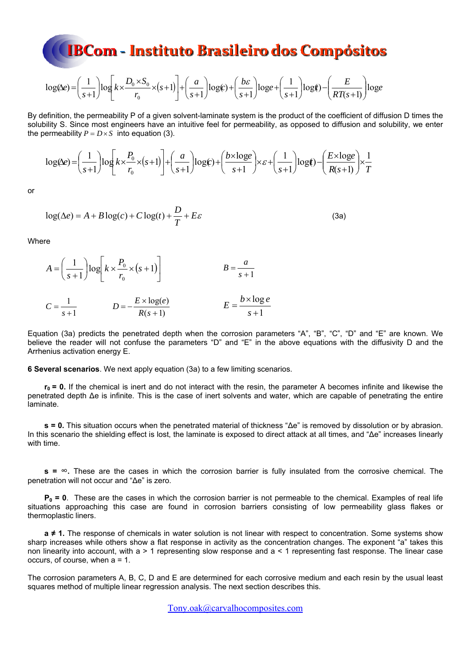$$
\log(\Delta e) = \left(\frac{1}{s+1}\right) \log \left[k \times \frac{D_0 \times S_0}{r_0} \times (s+1)\right] + \left(\frac{a}{s+1}\right) \log(c) + \left(\frac{b\varepsilon}{s+1}\right) \log e + \left(\frac{1}{s+1}\right) \log(r) - \left(\frac{E}{RT(s+1)}\right) \log(e)
$$

By definition, the permeability P of a given solvent-laminate system is the product of the coefficient of diffusion D times the solubility S. Since most engineers have an intuitive feel for permeability, as opposed to diffusion and solubility, we enter the permeability  $P = D \times S$  into equation (3).

$$
\log(\Delta e) = \left(\frac{1}{s+1}\right) \log \left[k \times \frac{P_0}{r_0} \times (s+1)\right] + \left(\frac{a}{s+1}\right) \log(c) + \left(\frac{b \times \log e}{s+1}\right) \times \varepsilon + \left(\frac{1}{s+1}\right) \log(r) - \left(\frac{E \times \log e}{R(s+1)}\right) \times \frac{1}{T}
$$

or

$$
\log(\Delta e) = A + B \log(c) + C \log(t) + \frac{D}{T} + E\varepsilon
$$
\n(3a)

**Where** 

$$
A = \left(\frac{1}{s+1}\right) \log \left[k \times \frac{P_0}{r_0} \times (s+1)\right]
$$
  
\n
$$
B = \frac{a}{s+1}
$$
  
\n
$$
C = \frac{1}{s+1}
$$
  
\n
$$
D = -\frac{E \times \log(e)}{R(s+1)}
$$
  
\n
$$
E = \frac{b \times \log(e)}{s+1}
$$

Equation (3a) predicts the penetrated depth when the corrosion parameters "A", "B", "C", "D" and "E" are known. We believe the reader will not confuse the parameters "D" and "E" in the above equations with the diffusivity D and the Arrhenius activation energy E.

**6 Several scenarios**. We next apply equation (3a) to a few limiting scenarios.

**r0 = 0.** If the chemical is inert and do not interact with the resin, the parameter A becomes infinite and likewise the penetrated depth Δe is infinite. This is the case of inert solvents and water, which are capable of penetrating the entire laminate.

**s = 0.** This situation occurs when the penetrated material of thickness "Δe" is removed by dissolution or by abrasion. In this scenario the shielding effect is lost, the laminate is exposed to direct attack at all times, and "Δe" increases linearly with time.

**s =** ∞**.** These are the cases in which the corrosion barrier is fully insulated from the corrosive chemical. The penetration will not occur and "Δe" is zero.

**P0 = 0**. These are the cases in which the corrosion barrier is not permeable to the chemical. Examples of real life situations approaching this case are found in corrosion barriers consisting of low permeability glass flakes or thermoplastic liners.

**a ≠ 1.** The response of chemicals in water solution is not linear with respect to concentration. Some systems show sharp increases while others show a flat response in activity as the concentration changes. The exponent "a" takes this non linearity into account, with a > 1 representing slow response and a < 1 representing fast response. The linear case occurs, of course, when a = 1.

The corrosion parameters A, B, C, D and E are determined for each corrosive medium and each resin by the usual least squares method of multiple linear regression analysis. The next section describes this.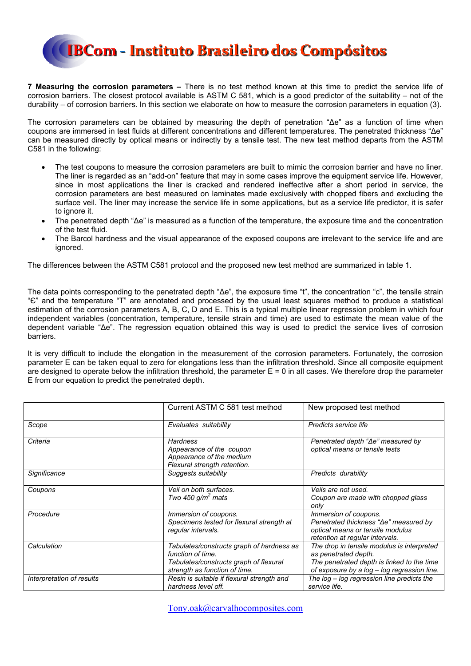

**7 Measuring the corrosion parameters –** There is no test method known at this time to predict the service life of corrosion barriers. The closest protocol available is ASTM C 581, which is a good predictor of the suitability – not of the durability – of corrosion barriers. In this section we elaborate on how to measure the corrosion parameters in equation (3).

The corrosion parameters can be obtained by measuring the depth of penetration "Δe" as a function of time when coupons are immersed in test fluids at different concentrations and different temperatures. The penetrated thickness "Δe" can be measured directly by optical means or indirectly by a tensile test. The new test method departs from the ASTM C581 in the following:

- The test coupons to measure the corrosion parameters are built to mimic the corrosion barrier and have no liner. The liner is regarded as an "add-on" feature that may in some cases improve the equipment service life. However, since in most applications the liner is cracked and rendered ineffective after a short period in service, the corrosion parameters are best measured on laminates made exclusively with chopped fibers and excluding the surface veil. The liner may increase the service life in some applications, but as a service life predictor, it is safer to ignore it.
- The penetrated depth "Δe" is measured as a function of the temperature, the exposure time and the concentration of the test fluid.
- The Barcol hardness and the visual appearance of the exposed coupons are irrelevant to the service life and are ignored.

The differences between the ASTM C581 protocol and the proposed new test method are summarized in table 1.

The data points corresponding to the penetrated depth "Δe", the exposure time "t", the concentration "c", the tensile strain "Є" and the temperature "T" are annotated and processed by the usual least squares method to produce a statistical estimation of the corrosion parameters A, B, C, D and E. This is a typical multiple linear regression problem in which four independent variables (concentration, temperature, tensile strain and time) are used to estimate the mean value of the dependent variable "Δe". The regression equation obtained this way is used to predict the service lives of corrosion barriers.

It is very difficult to include the elongation in the measurement of the corrosion parameters. Fortunately, the corrosion parameter E can be taken equal to zero for elongations less than the infiltration threshold. Since all composite equipment are designed to operate below the infiltration threshold, the parameter  $E = 0$  in all cases. We therefore drop the parameter E from our equation to predict the penetrated depth.

|                           | Current ASTM C 581 test method                                                                                                                                                                                                                                                                               | New proposed test method                                                                                                              |  |  |
|---------------------------|--------------------------------------------------------------------------------------------------------------------------------------------------------------------------------------------------------------------------------------------------------------------------------------------------------------|---------------------------------------------------------------------------------------------------------------------------------------|--|--|
| Scope                     | Predicts service life<br>Evaluates suitability                                                                                                                                                                                                                                                               |                                                                                                                                       |  |  |
| Criteria                  | Penetrated depth "∆e" measured by<br><b>Hardness</b><br>Appearance of the coupon<br>optical means or tensile tests<br>Appearance of the medium<br>Flexural strength retention.                                                                                                                               |                                                                                                                                       |  |  |
| Significance              | Suggests suitability                                                                                                                                                                                                                                                                                         | Predicts durability                                                                                                                   |  |  |
| Coupons                   | Veil on both surfaces.<br>Two 450 $g/m^2$ mats                                                                                                                                                                                                                                                               | Veils are not used.<br>Coupon are made with chopped glass<br>onlv                                                                     |  |  |
| Procedure                 | Immersion of coupons.<br>Specimens tested for flexural strength at<br>regular intervals.                                                                                                                                                                                                                     | Immersion of coupons.<br>Penetrated thickness "Ae" measured by<br>optical means or tensile modulus<br>retention at regular intervals. |  |  |
| Calculation               | The drop in tensile modulus is interpreted<br>Tabulates/constructs graph of hardness as<br>function of time.<br>as penetrated depth.<br>The penetrated depth is linked to the time<br>Tabulates/constructs graph of flexural<br>strength as function of time.<br>of exposure by a log - log regression line. |                                                                                                                                       |  |  |
| Interpretation of results | Resin is suitable if flexural strength and<br>hardness level off.                                                                                                                                                                                                                                            | The log – log regression line predicts the<br>service life.                                                                           |  |  |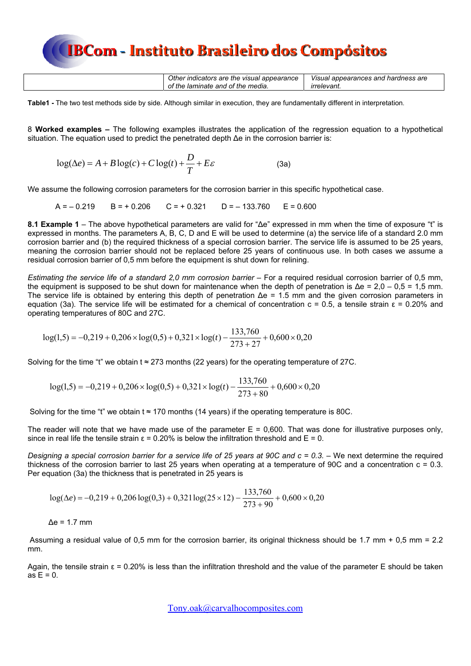| Other indicators are the visual appearance | Visual appearances and hardness are |
|--------------------------------------------|-------------------------------------|
| of the laminate and of the media.          | <i>irrelevant.</i>                  |

**Table1 -** The two test methods side by side. Although similar in execution, they are fundamentally different in interpretation.

8 **Worked examples –** The following examples illustrates the application of the regression equation to a hypothetical situation. The equation used to predict the penetrated depth Δe in the corrosion barrier is:

$$
\log(\Delta e) = A + B \log(c) + C \log(t) + \frac{D}{T} + E\varepsilon
$$
 (3a)

We assume the following corrosion parameters for the corrosion barrier in this specific hypothetical case.

 $A = -0.219$   $B = +0.206$   $C = +0.321$   $D = -133.760$   $F = 0.600$ 

**8.1 Example 1** – The above hypothetical parameters are valid for "Δe" expressed in mm when the time of exposure "t" is expressed in months. The parameters A, B, C, D and E will be used to determine (a) the service life of a standard 2.0 mm corrosion barrier and (b) the required thickness of a special corrosion barrier. The service life is assumed to be 25 years, meaning the corrosion barrier should not be replaced before 25 years of continuous use. In both cases we assume a residual corrosion barrier of 0,5 mm before the equipment is shut down for relining.

*Estimating the service life of a standard 2,0 mm corrosion barrier – For a required residual corrosion barrier of 0,5 mm,* the equipment is supposed to be shut down for maintenance when the depth of penetration is  $\Delta e = 2,0 - 0,5 = 1,5$  mm. The service life is obtained by entering this depth of penetration  $\Delta e = 1.5$  mm and the given corrosion parameters in equation (3a). The service life will be estimated for a chemical of concentration  $c = 0.5$ , a tensile strain  $ε = 0.20\%$  and operating temperatures of 80C and 27C.

$$
log(1,5) = -0,219 + 0,206 \times log(0,5) + 0,321 \times log(t) - \frac{133,760}{273 + 27} + 0,600 \times 0,20
$$

Solving for the time "t" we obtain t  $\approx$  273 months (22 years) for the operating temperature of 27C.

$$
log(1,5) = -0,219 + 0,206 \times log(0,5) + 0,321 \times log(t) - \frac{133,760}{273 + 80} + 0,600 \times 0,20
$$

Solving for the time "t" we obtain t  $\approx$  170 months (14 years) if the operating temperature is 80C.

The reader will note that we have made use of the parameter  $E = 0,600$ . That was done for illustrative purposes only, since in real life the tensile strain  $\varepsilon = 0.20\%$  is below the infiltration threshold and  $E = 0$ .

*Designing a special corrosion barrier for a service life of 25 years at 90C and c = 0.3.* – We next determine the required thickness of the corrosion barrier to last 25 years when operating at a temperature of 90C and a concentration c = 0.3. Per equation (3a) the thickness that is penetrated in 25 years is

$$
\log(\Delta e) = -0.219 + 0.206 \log(0.3) + 0.321 \log(25 \times 12) - \frac{133,760}{273 + 90} + 0.600 \times 0.20
$$

$$
\Delta e = 1.7 \text{ mm}
$$

 Assuming a residual value of 0,5 mm for the corrosion barrier, its original thickness should be 1.7 mm + 0,5 mm = 2.2 mm.

Again, the tensile strain  $ε = 0.20%$  is less than the infiltration threshold and the value of the parameter E should be taken as  $E = 0$ .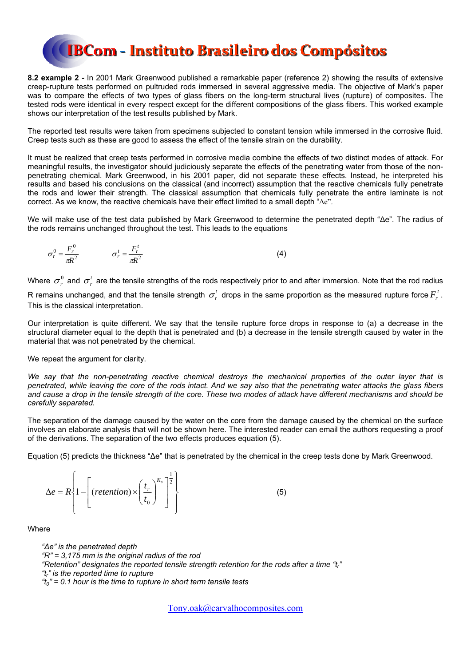**8.2 example 2 -** In 2001 Mark Greenwood published a remarkable paper (reference 2) showing the results of extensive creep-rupture tests performed on pultruded rods immersed in several aggressive media. The objective of Mark's paper was to compare the effects of two types of glass fibers on the long-term structural lives (rupture) of composites. The tested rods were identical in every respect except for the different compositions of the glass fibers. This worked example shows our interpretation of the test results published by Mark.

The reported test results were taken from specimens subjected to constant tension while immersed in the corrosive fluid. Creep tests such as these are good to assess the effect of the tensile strain on the durability.

It must be realized that creep tests performed in corrosive media combine the effects of two distinct modes of attack. For meaningful results, the investigator should judiciously separate the effects of the penetrating water from those of the nonpenetrating chemical. Mark Greenwood, in his 2001 paper, did not separate these effects. Instead, he interpreted his results and based his conclusions on the classical (and incorrect) assumption that the reactive chemicals fully penetrate the rods and lower their strength. The classical assumption that chemicals fully penetrate the entire laminate is not correct. As we know, the reactive chemicals have their effect limited to a small depth " $\Delta e$ ".

We will make use of the test data published by Mark Greenwood to determine the penetrated depth "Δe". The radius of the rods remains unchanged throughout the test. This leads to the equations

$$
\sigma_r^0 = \frac{F_r^0}{\pi R^2} \qquad \qquad \sigma_r^t = \frac{F_r^t}{\pi R^2} \tag{4}
$$

Where  $\sigma_r^0$  and  $\sigma_r^t$  are the tensile strengths of the rods respectively prior to and after immersion. Note that the rod radius R remains unchanged, and that the tensile strength  $\sigma_r^t$  drops in the same proportion as the measured rupture force  $F_r^t$ .

This is the classical interpretation.

Our interpretation is quite different. We say that the tensile rupture force drops in response to (a) a decrease in the structural diameter equal to the depth that is penetrated and (b) a decrease in the tensile strength caused by water in the material that was not penetrated by the chemical.

We repeat the argument for clarity.

*We say that the non-penetrating reactive chemical destroys the mechanical properties of the outer layer that is penetrated, while leaving the core of the rods intact. And we say also that the penetrating water attacks the glass fibers and cause a drop in the tensile strength of the core. These two modes of attack have different mechanisms and should be carefully separated.* 

The separation of the damage caused by the water on the core from the damage caused by the chemical on the surface involves an elaborate analysis that will not be shown here. The interested reader can email the authors requesting a proof of the derivations. The separation of the two effects produces equation (5).

Equation (5) predicts the thickness "Δe" that is penetrated by the chemical in the creep tests done by Mark Greenwood.

$$
\Delta e = R \left\{ 1 - \left[ \left( \text{reteration} \right) \times \left( \frac{t_r}{t_0} \right)^{K_s} \right]^{\frac{1}{2}} \right\} \tag{5}
$$

**Where** 

*"Δe" is the penetrated depth "R" = 3,175 mm is the original radius of the rod*  "Retention" designates the reported tensile strength retention for the rods after a time "t<sub>r</sub>" *"tr" is the reported time to rupture "t0" = 0.1 hour is the time to rupture in short term tensile tests*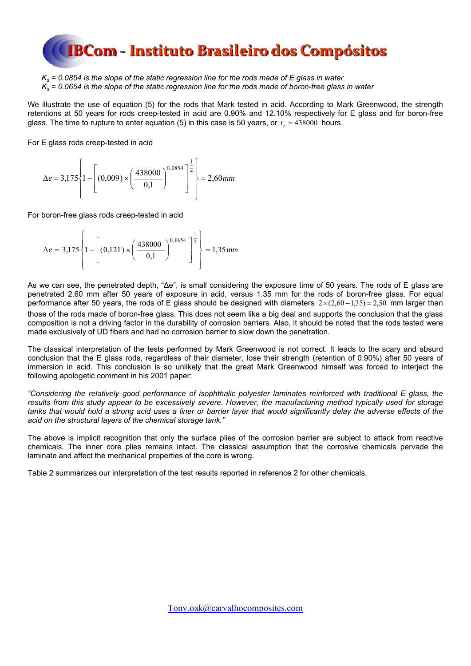

*Ks = 0.0854 is the slope of the static regression line for the rods made of E glass in water Ks = 0.0654 is the slope of the static regression line for the rods made of boron-free glass in water* 

We illustrate the use of equation (5) for the rods that Mark tested in acid. According to Mark Greenwood, the strength retentions at 50 years for rods creep-tested in acid are 0.90% and 12.10% respectively for E glass and for boron-free glass. The time to rupture to enter equation  $(5)$  in this case is 50 years, or  $t_r = 438000$  hours.

For E glass rods creep-tested in acid

$$
\Delta e = 3,175 \left\{ 1 - \left[ (0,009) \times \left( \frac{438000}{0,1} \right)^{0,0854} \right]^{\frac{1}{2}} \right\} = 2,60 \text{ mm}
$$

For boron-free glass rods creep-tested in acid

$$
\Delta e = 3,175 \left\{ 1 - \left[ (0,121) \times \left( \frac{438000}{0,1} \right)^{0,0654} \right]^{\frac{1}{2}} \right\} = 1,35 \text{ mm}
$$

As we can see, the penetrated depth, "Δe", is small considering the exposure time of 50 years. The rods of E glass are penetrated 2.60 mm after 50 years of exposure in acid, versus 1.35 mm for the rods of boron-free glass. For equal performance after 50 years, the rods of E glass should be designed with diameters  $2\times(2,60-1,35) = 2,50$  mm larger than those of the rods made of boron-free glass. This does not seem like a big deal and supports the conclusion that the glass composition is not a driving factor in the durability of corrosion barriers. Also, it should be noted that the rods tested were made exclusively of UD fibers and had no corrosion barrier to slow down the penetration.

The classical interpretation of the tests performed by Mark Greenwood is not correct. It leads to the scary and absurd conclusion that the E glass rods, regardless of their diameter, lose their strength (retention of 0.90%) after 50 years of immersion in acid. This conclusion is so unlikely that the great Mark Greenwood himself was forced to interject the following apologetic comment in his 2001 paper:

*"Considering the relatively good performance of isophthalic polyester laminates reinforced with traditional E glass, the results from this study appear to be excessively severe. However, the manufacturing method typically used for storage*  tanks that would hold a strong acid uses a liner or barrier layer that would significantly delay the adverse effects of the *acid on the structural layers of the chemical storage tank."* 

The above is implicit recognition that only the surface plies of the corrosion barrier are subject to attack from reactive chemicals. The inner core plies remains intact. The classical assumption that the corrosive chemicals pervade the laminate and affect the mechanical properties of the core is wrong.

Table 2 summarizes our interpretation of the test results reported in reference 2 for other chemicals.